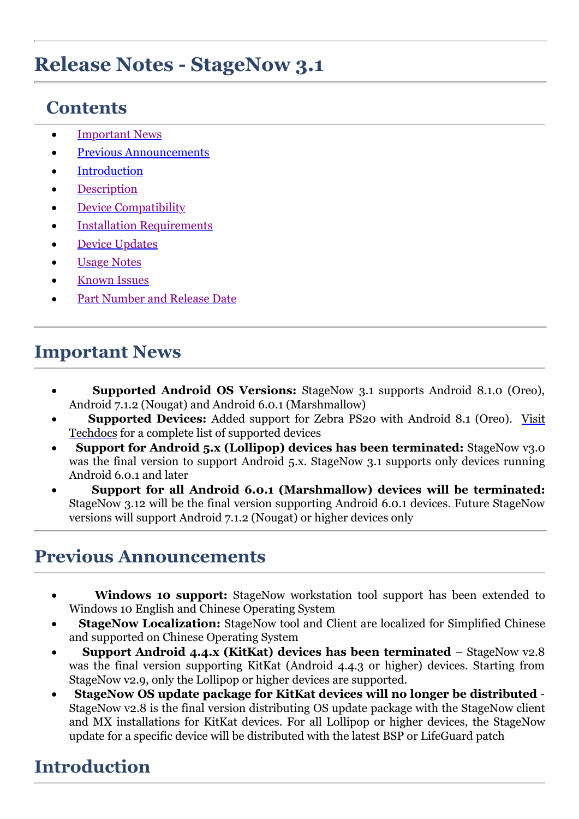# **Release Notes - StageNow 3.1**

# **Contents**

- · [Important News](#page-0-0)
- [Previous Announcements](#page-0-1)
- **[Introduction](#page-0-2)**
- **[Description](#page-1-0)**
- [Device Compatibility](#page-2-0)
- **[Installation Requirements](#page-3-0)**
- **Device [Updates](#page-3-1)**
- **[Usage Notes](#page-3-2)**
- **[Known Issues](#page-3-3)**
- [Part Number and Release Date](#page-4-0)

## <span id="page-0-0"></span>**Important News**

- · **Supported Android OS Versions:** StageNow 3.1 supports Android 8.1.0 (Oreo), Android 7.1.2 (Nougat) and Android 6.0.1 (Marshmallow)
- · **Supported Devices:** [Added support for Zebra PS20 with Android 8.1 \(Oreo\). Visit](http://techdocs.zebra.com/stagenow/3-1/about/) Techdocs for a complete list of supported devices
- **Support for Android 5.x (Lollipop) devices has been terminated:** StageNow v3.0 was the final version to support Android 5.x. StageNow 3.1 supports only devices running Android 6.0.1 and later
- · **Support for all Android 6.0.1 (Marshmallow) devices will be terminated:** StageNow 3.12 will be the final version supporting Android 6.0.1 devices. Future StageNow versions will support Android 7.1.2 (Nougat) or higher devices only

## <span id="page-0-1"></span>**Previous Announcements**

- **Windows 10 support:** StageNow workstation tool support has been extended to Windows 10 English and Chinese Operating System
- **StageNow Localization:** StageNow tool and Client are localized for Simplified Chinese and supported on Chinese Operating System
- · **Support Android 4.4.x (KitKat) devices has been terminated**  StageNow v2.8 was the final version supporting KitKat (Android 4.4.3 or higher) devices. Starting from StageNow v2.9, only the Lollipop or higher devices are supported.
- · **StageNow OS update package for KitKat devices will no longer be distributed**  StageNow v2.8 is the final version distributing OS update package with the StageNow client and MX installations for KitKat devices. For all Lollipop or higher devices, the StageNow update for a specific device will be distributed with the latest BSP or LifeGuard patch

## <span id="page-0-2"></span>**Introduction**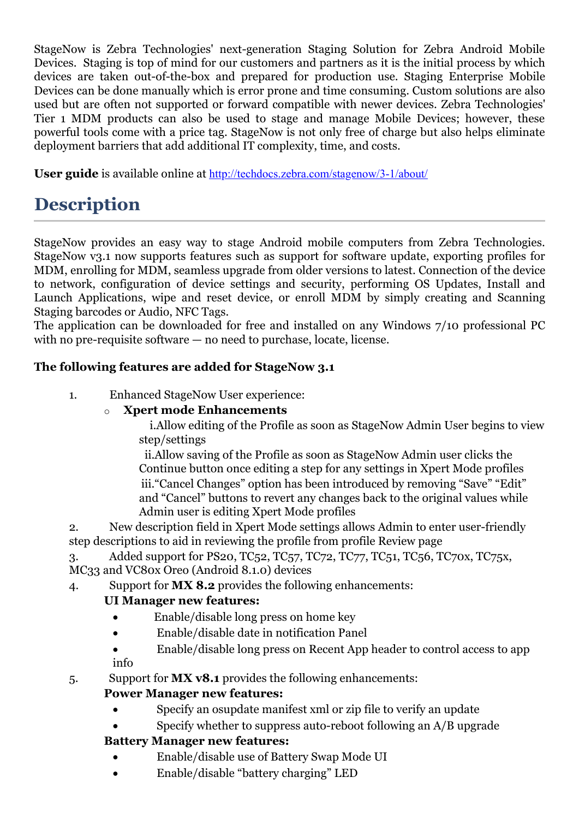StageNow is Zebra Technologies' next-generation Staging Solution for Zebra Android Mobile Devices. Staging is top of mind for our customers and partners as it is the initial process by which devices are taken out-of-the-box and prepared for production use. Staging Enterprise Mobile Devices can be done manually which is error prone and time consuming. Custom solutions are also used but are often not supported or forward compatible with newer devices. Zebra Technologies' Tier 1 MDM products can also be used to stage and manage Mobile Devices; however, these powerful tools come with a price tag. StageNow is not only free of charge but also helps eliminate deployment barriers that add additional IT complexity, time, and costs.

**User guide** is available online at <http://techdocs.zebra.com/stagenow/3-1/about/>

# <span id="page-1-0"></span>**Description**

StageNow provides an easy way to stage Android mobile computers from Zebra Technologies. StageNow v3.1 now supports features such as support for software update, exporting profiles for MDM, enrolling for MDM, seamless upgrade from older versions to latest. Connection of the device to network, configuration of device settings and security, performing OS Updates, Install and Launch Applications, wipe and reset device, or enroll MDM by simply creating and Scanning Staging barcodes or Audio, NFC Tags.

The application can be downloaded for free and installed on any Windows 7/10 professional PC with no pre-requisite software — no need to purchase, locate, license.

### **The following features are added for StageNow 3.1**

1. Enhanced StageNow User experience:

#### o **Xpert mode Enhancements**

i.Allow editing of the Profile as soon as StageNow Admin User begins to view step/settings

ii.Allow saving of the Profile as soon as StageNow Admin user clicks the Continue button once editing a step for any settings in Xpert Mode profiles iii."Cancel Changes" option has been introduced by removing "Save" "Edit" and "Cancel" buttons to revert any changes back to the original values while Admin user is editing Xpert Mode profiles

2. New description field in Xpert Mode settings allows Admin to enter user-friendly step descriptions to aid in reviewing the profile from profile Review page

3. Added support for PS20, TC52, TC57, TC72, TC77, TC51, TC56, TC70x, TC75x, MC33 and VC80x Oreo (Android 8.1.0) devices

4. Support for **MX 8.2** provides the following enhancements:

#### **UI Manager new features:**

- · Enable/disable long press on home key
- · Enable/disable date in notification Panel
- Enable/disable long press on Recent App header to control access to app info

5. Support for **MX v8.1** provides the following enhancements:

### **Power Manager new features:**

- Specify an osupdate manifest xml or zip file to verify an update
- Specify whether to suppress auto-reboot following an A/B upgrade

### **Battery Manager new features:**

- · Enable/disable use of Battery Swap Mode UI
- · Enable/disable "battery charging" LED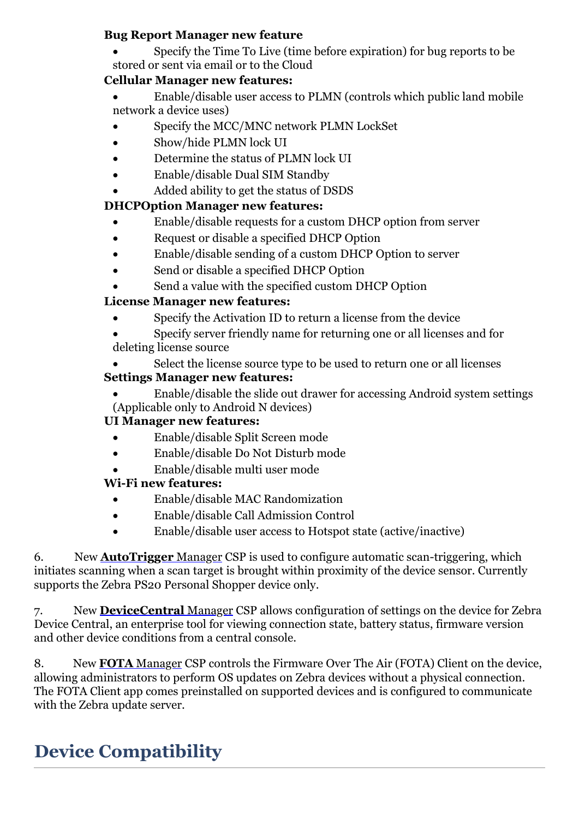### **Bug Report Manager new feature**

Specify the Time To Live (time before expiration) for bug reports to be stored or sent via email or to the Cloud

### **Cellular Manager new features:**

- · Enable/disable user access to PLMN (controls which public land mobile network a device uses)
- Specify the MCC/MNC network PLMN LockSet
- Show/hide PLMN lock UI
- Determine the status of PLMN lock UI
- · Enable/disable Dual SIM Standby
- Added ability to get the status of DSDS

## **DHCPOption Manager new features:**

- · Enable/disable requests for a custom DHCP option from server
- · Request or disable a specified DHCP Option
- Enable/disable sending of a custom DHCP Option to server
- Send or disable a specified DHCP Option
- Send a value with the specified custom DHCP Option

## **License Manager new features:**

Specify the Activation ID to return a license from the device

Specify server friendly name for returning one or all licenses and for deleting license source

- Select the license source type to be used to return one or all licenses **Settings Manager new features:**
	- · Enable/disable the slide out drawer for accessing Android system settings (Applicable only to Android N devices)

## **UI Manager new features:**

- · Enable/disable Split Screen mode
- · Enable/disable Do Not Disturb mode
- · Enable/disable multi user mode

## **Wi-Fi new features:**

- · Enable/disable MAC Randomization
- · Enable/disable Call Admission Control
- · Enable/disable user access to Hotspot state (active/inactive)

6. New **[AutoTrigger](http://zebra-stage.github.io/stagenow/3-1/csp/autotriggermgr)** Manager CSP is used to configure automatic scan-triggering, which initiates scanning when a scan target is brought within proximity of the device sensor. Currently supports the Zebra PS20 Personal Shopper device only.

7. New **[DeviceCentral](http://zebra-stage.github.io/stagenow/3-1/csp/devicecentralmgr)** Manager CSP allows configuration of settings on the device for Zebra Device Central, an enterprise tool for viewing connection state, battery status, firmware version and other device conditions from a central console.

8. New **FOTA** [Manager](http://zebra-stage.github.io/stagenow/3-1/csp/fotamgr) CSP controls the Firmware Over The Air (FOTA) Client on the device, allowing administrators to perform OS updates on Zebra devices without a physical connection. The FOTA Client app comes preinstalled on supported devices and is configured to communicate with the Zebra update server.

# <span id="page-2-0"></span>**Device Compatibility**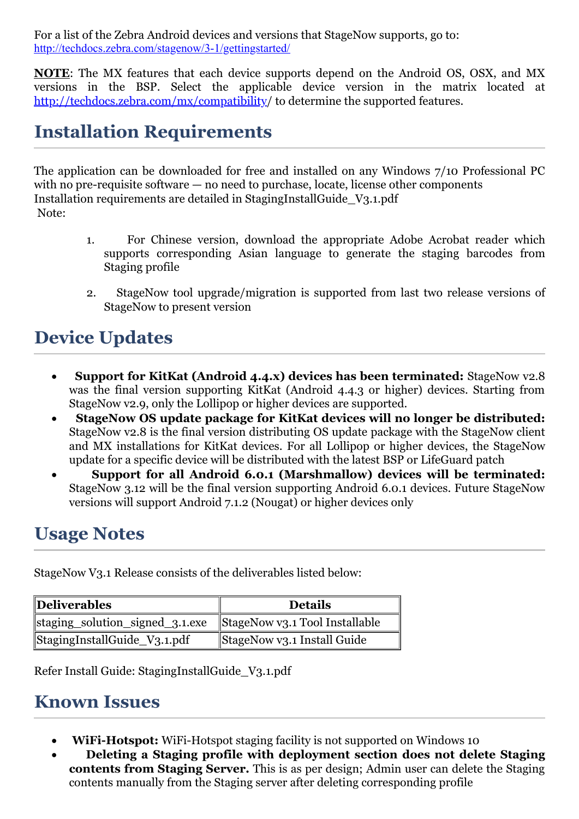For a list of the Zebra Android devices and versions that StageNow supports, go to: <http://techdocs.zebra.com/stagenow/3-1/gettingstarted/>

**NOTE**: The MX features that each device supports depend on the Android OS, OSX, and MX versions in the BSP. Select the applicable device version in the matrix located at <http://techdocs.zebra.com/mx/compatibility>/ to determine the supported features.

## <span id="page-3-0"></span>**Installation Requirements**

The application can be downloaded for free and installed on any Windows 7/10 Professional PC with no pre-requisite software — no need to purchase, locate, license other components Installation requirements are detailed in StagingInstallGuide\_V3.1.pdf Note:

- 1. For Chinese version, download the appropriate Adobe Acrobat reader which supports corresponding Asian language to generate the staging barcodes from Staging profile
- 2. StageNow tool upgrade/migration is supported from last two release versions of StageNow to present version

# <span id="page-3-1"></span>**Device Updates**

- · **Support for KitKat (Android 4.4.x) devices has been terminated:** StageNow v2.8 was the final version supporting KitKat (Android 4.4.3 or higher) devices. Starting from StageNow v2.9, only the Lollipop or higher devices are supported.
- · **StageNow OS update package for KitKat devices will no longer be distributed:** StageNow v2.8 is the final version distributing OS update package with the StageNow client and MX installations for KitKat devices. For all Lollipop or higher devices, the StageNow update for a specific device will be distributed with the latest BSP or LifeGuard patch
- · **Support for all Android 6.0.1 (Marshmallow) devices will be terminated:** StageNow 3.12 will be the final version supporting Android 6.0.1 devices. Future StageNow versions will support Android 7.1.2 (Nougat) or higher devices only

## <span id="page-3-2"></span>**Usage Notes**

StageNow V3.1 Release consists of the deliverables listed below:

| Deliverables                    | <b>Details</b>                 |
|---------------------------------|--------------------------------|
| staging_solution_signed_3.1.exe | StageNow v3.1 Tool Installable |
| StagingInstallGuide_V3.1.pdf    | StageNow v3.1 Install Guide    |

Refer Install Guide: StagingInstallGuide\_V3.1.pdf

## <span id="page-3-3"></span>**Known Issues**

- · **WiFi-Hotspot:** WiFi-Hotspot staging facility is not supported on Windows 10
- · **Deleting a Staging profile with deployment section does not delete Staging contents from Staging Server.** This is as per design; Admin user can delete the Staging contents manually from the Staging server after deleting corresponding profile